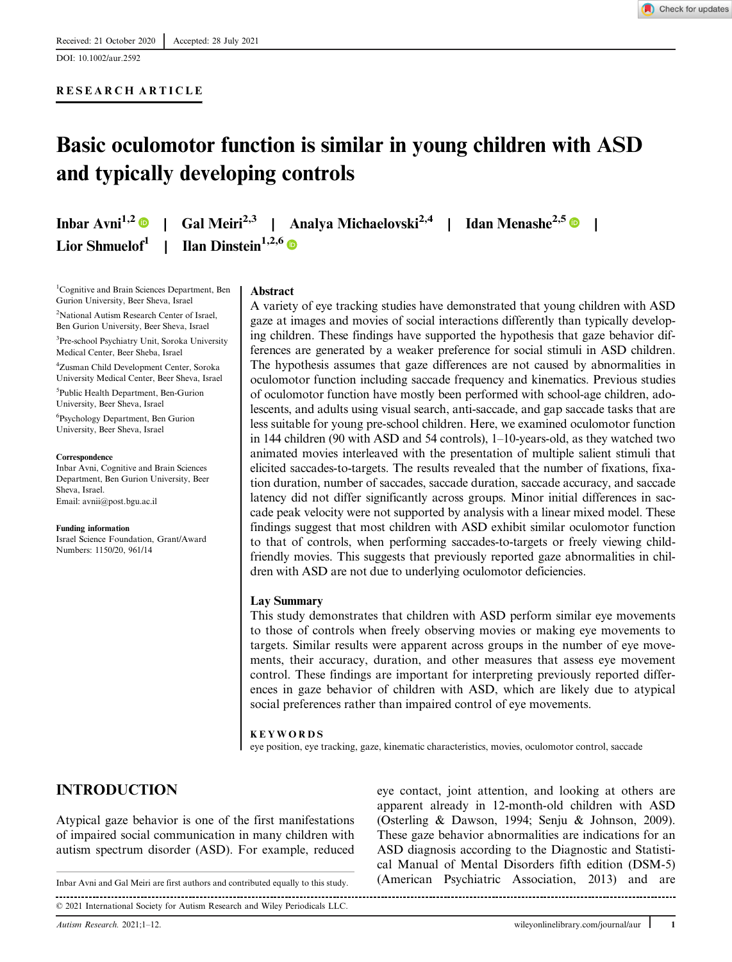DOI: 10.1002/aur.2592

## RESEARCH ARTICLE

# Basic oculomotor function is similar in young children with ASD and typically developing controls

Inbar Avni<sup>1,2</sup> | Gal Meiri<sup>2,3</sup> | Analya Michaelovski<sup>2,4</sup> | Idan Menashe<sup>2,5</sup> | | Lior Shmuelof<sup>1</sup> | Ilan Dinstein<sup>1,2,6</sup>

<sup>1</sup>Cognitive and Brain Sciences Department, Ben Gurion University, Beer Sheva, Israel <sup>2</sup>National Autism Research Center of Israel, Ben Gurion University, Beer Sheva, Israel 3 Pre-school Psychiatry Unit, Soroka University Medical Center, Beer Sheba, Israel

4 Zusman Child Development Center, Soroka University Medical Center, Beer Sheva, Israel 5 Public Health Department, Ben-Gurion University, Beer Sheva, Israel

6 Psychology Department, Ben Gurion University, Beer Sheva, Israel

#### **Correspondence**

Inbar Avni, Cognitive and Brain Sciences Department, Ben Gurion University, Beer Sheva, Israel. Email: [avnii@post.bgu.ac.il](mailto:avnii@post.bgu.ac.il)

Funding information Israel Science Foundation, Grant/Award Numbers: 1150/20, 961/14

#### **Abstract**

A variety of eye tracking studies have demonstrated that young children with ASD gaze at images and movies of social interactions differently than typically developing children. These findings have supported the hypothesis that gaze behavior differences are generated by a weaker preference for social stimuli in ASD children. The hypothesis assumes that gaze differences are not caused by abnormalities in oculomotor function including saccade frequency and kinematics. Previous studies of oculomotor function have mostly been performed with school-age children, adolescents, and adults using visual search, anti-saccade, and gap saccade tasks that are less suitable for young pre-school children. Here, we examined oculomotor function in 144 children (90 with ASD and 54 controls), 1–10-years-old, as they watched two animated movies interleaved with the presentation of multiple salient stimuli that elicited saccades-to-targets. The results revealed that the number of fixations, fixation duration, number of saccades, saccade duration, saccade accuracy, and saccade latency did not differ significantly across groups. Minor initial differences in saccade peak velocity were not supported by analysis with a linear mixed model. These findings suggest that most children with ASD exhibit similar oculomotor function to that of controls, when performing saccades-to-targets or freely viewing childfriendly movies. This suggests that previously reported gaze abnormalities in children with ASD are not due to underlying oculomotor deficiencies.

#### Lay Summary

This study demonstrates that children with ASD perform similar eye movements to those of controls when freely observing movies or making eye movements to targets. Similar results were apparent across groups in the number of eye movements, their accuracy, duration, and other measures that assess eye movement control. These findings are important for interpreting previously reported differences in gaze behavior of children with ASD, which are likely due to atypical social preferences rather than impaired control of eye movements.

#### KEYWORDS

eye position, eye tracking, gaze, kinematic characteristics, movies, oculomotor control, saccade

# INTRODUCTION

Atypical gaze behavior is one of the first manifestations of impaired social communication in many children with autism spectrum disorder (ASD). For example, reduced

© 2021 International Society for Autism Research and Wiley Periodicals LLC.

eye contact, joint attention, and looking at others are apparent already in 12-month-old children with ASD (Osterling & Dawson, 1994; Senju & Johnson, 2009). These gaze behavior abnormalities are indications for an ASD diagnosis according to the Diagnostic and Statistical Manual of Mental Disorders fifth edition (DSM-5) Inbar Avni and Gal Meiri are first authors and contributed equally to this study. (American Psychiatric Association, 2013) and are

. . . . . . . . . . . . . .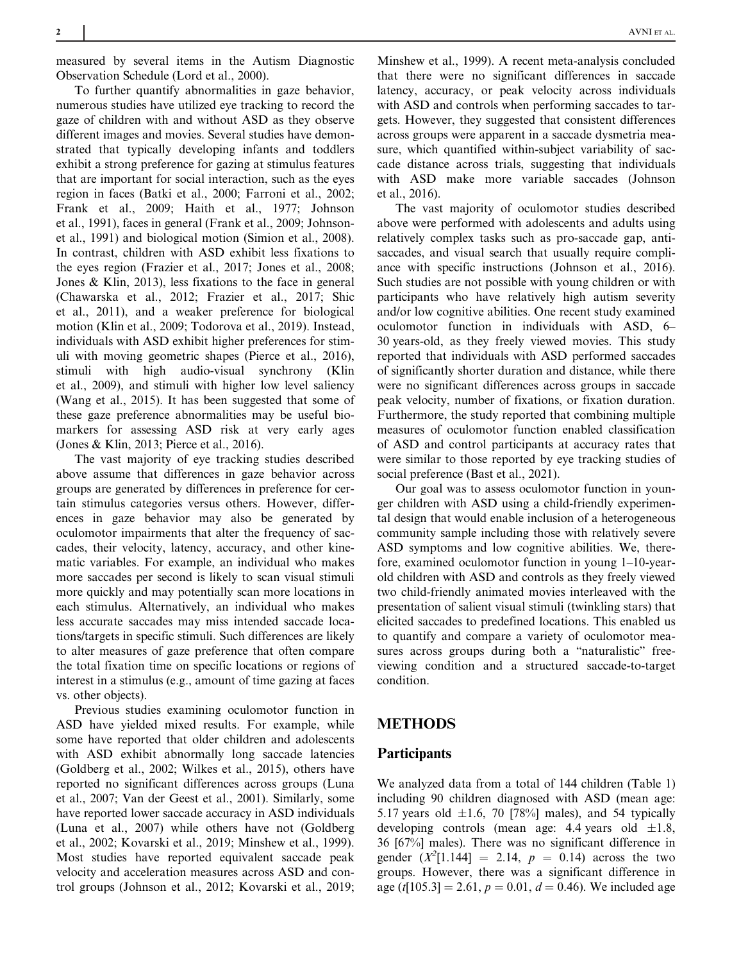measured by several items in the Autism Diagnostic Observation Schedule (Lord et al., 2000).

To further quantify abnormalities in gaze behavior, numerous studies have utilized eye tracking to record the gaze of children with and without ASD as they observe different images and movies. Several studies have demonstrated that typically developing infants and toddlers exhibit a strong preference for gazing at stimulus features that are important for social interaction, such as the eyes region in faces (Batki et al., 2000; Farroni et al., 2002; Frank et al., 2009; Haith et al., 1977; Johnson et al., 1991), faces in general (Frank et al., 2009; Johnsonet al., 1991) and biological motion (Simion et al., 2008). In contrast, children with ASD exhibit less fixations to the eyes region (Frazier et al., 2017; Jones et al., 2008; Jones & Klin, 2013), less fixations to the face in general (Chawarska et al., 2012; Frazier et al., 2017; Shic et al., 2011), and a weaker preference for biological motion (Klin et al., 2009; Todorova et al., 2019). Instead, individuals with ASD exhibit higher preferences for stimuli with moving geometric shapes (Pierce et al., 2016), stimuli with high audio-visual synchrony (Klin et al., 2009), and stimuli with higher low level saliency (Wang et al., 2015). It has been suggested that some of these gaze preference abnormalities may be useful biomarkers for assessing ASD risk at very early ages (Jones & Klin, 2013; Pierce et al., 2016).

The vast majority of eye tracking studies described above assume that differences in gaze behavior across groups are generated by differences in preference for certain stimulus categories versus others. However, differences in gaze behavior may also be generated by oculomotor impairments that alter the frequency of saccades, their velocity, latency, accuracy, and other kinematic variables. For example, an individual who makes more saccades per second is likely to scan visual stimuli more quickly and may potentially scan more locations in each stimulus. Alternatively, an individual who makes less accurate saccades may miss intended saccade locations/targets in specific stimuli. Such differences are likely to alter measures of gaze preference that often compare the total fixation time on specific locations or regions of interest in a stimulus (e.g., amount of time gazing at faces vs. other objects).

Previous studies examining oculomotor function in ASD have yielded mixed results. For example, while some have reported that older children and adolescents with ASD exhibit abnormally long saccade latencies (Goldberg et al., 2002; Wilkes et al., 2015), others have reported no significant differences across groups (Luna et al., 2007; Van der Geest et al., 2001). Similarly, some have reported lower saccade accuracy in ASD individuals (Luna et al., 2007) while others have not (Goldberg et al., 2002; Kovarski et al., 2019; Minshew et al., 1999). Most studies have reported equivalent saccade peak velocity and acceleration measures across ASD and control groups (Johnson et al., 2012; Kovarski et al., 2019;

Minshew et al., 1999). A recent meta-analysis concluded that there were no significant differences in saccade latency, accuracy, or peak velocity across individuals with ASD and controls when performing saccades to targets. However, they suggested that consistent differences across groups were apparent in a saccade dysmetria measure, which quantified within-subject variability of saccade distance across trials, suggesting that individuals with ASD make more variable saccades (Johnson et al., 2016).

The vast majority of oculomotor studies described above were performed with adolescents and adults using relatively complex tasks such as pro-saccade gap, antisaccades, and visual search that usually require compliance with specific instructions (Johnson et al., 2016). Such studies are not possible with young children or with participants who have relatively high autism severity and/or low cognitive abilities. One recent study examined oculomotor function in individuals with ASD, 6– 30 years-old, as they freely viewed movies. This study reported that individuals with ASD performed saccades of significantly shorter duration and distance, while there were no significant differences across groups in saccade peak velocity, number of fixations, or fixation duration. Furthermore, the study reported that combining multiple measures of oculomotor function enabled classification of ASD and control participants at accuracy rates that were similar to those reported by eye tracking studies of social preference (Bast et al., 2021).

Our goal was to assess oculomotor function in younger children with ASD using a child-friendly experimental design that would enable inclusion of a heterogeneous community sample including those with relatively severe ASD symptoms and low cognitive abilities. We, therefore, examined oculomotor function in young 1–10-yearold children with ASD and controls as they freely viewed two child-friendly animated movies interleaved with the presentation of salient visual stimuli (twinkling stars) that elicited saccades to predefined locations. This enabled us to quantify and compare a variety of oculomotor measures across groups during both a "naturalistic" freeviewing condition and a structured saccade-to-target condition.

# METHODS

#### **Participants**

We analyzed data from a total of 144 children (Table 1) including 90 children diagnosed with ASD (mean age: 5.17 years old  $\pm 1.6$ , 70 [78%] males), and 54 typically developing controls (mean age: 4.4 years old  $\pm 1.8$ , 36 [67%] males). There was no significant difference in gender  $(X^2[1.144] = 2.14, p = 0.14)$  across the two groups. However, there was a significant difference in age (t[105.3] = 2.61,  $p = 0.01$ ,  $d = 0.46$ ). We included age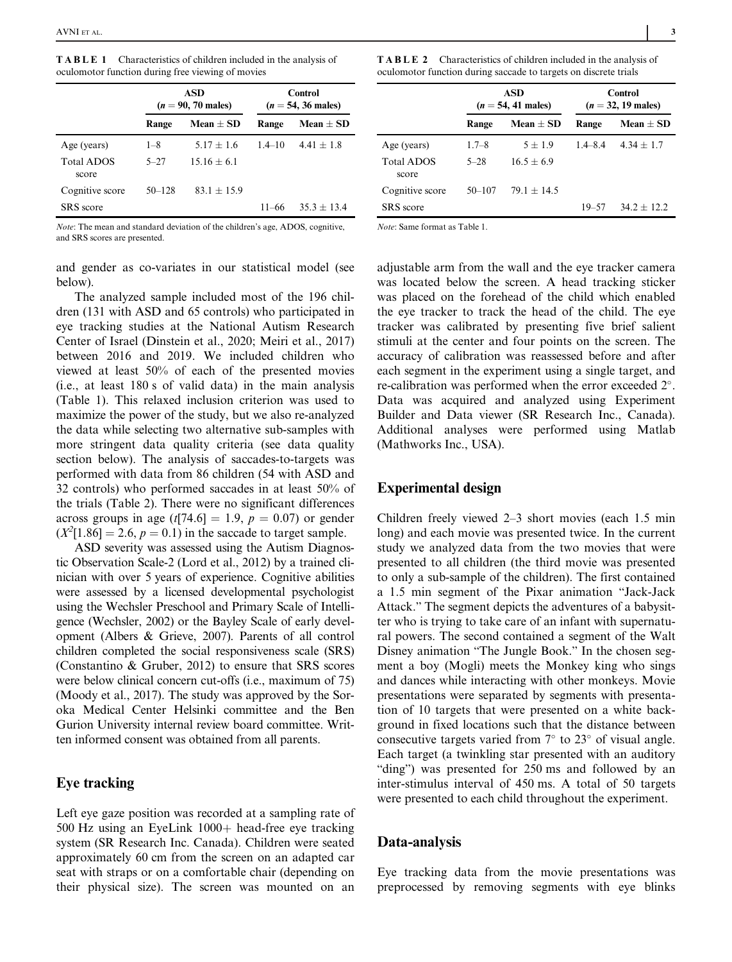| <b>TABLE 1</b> Characteristics of children included in the analysis of |  |  |
|------------------------------------------------------------------------|--|--|
| oculomotor function during free viewing of movies                      |  |  |

|                            | ASD<br>$(n = 90, 70 \text{ males})$ |               |            | Control<br>$(n = 54, 36 \text{ males})$ |
|----------------------------|-------------------------------------|---------------|------------|-----------------------------------------|
|                            | Range                               | Mean $\pm$ SD | Range      | Mean $\pm$ SD                           |
| Age (years)                | $1 - 8$                             | $5.17 + 1.6$  | $1.4 - 10$ | $4.41 + 1.8$                            |
| <b>Total ADOS</b><br>score | $5 - 27$                            | $15.16 + 6.1$ |            |                                         |
| Cognitive score            | $50 - 128$                          | $83.1 + 15.9$ |            |                                         |
| <b>SRS</b> score           |                                     |               | $11 - 66$  | $35.3 + 13.4$                           |

Note: The mean and standard deviation of the children's age, ADOS, cognitive, and SRS scores are presented.

and gender as co-variates in our statistical model (see below).

The analyzed sample included most of the 196 children (131 with ASD and 65 controls) who participated in eye tracking studies at the National Autism Research Center of Israel (Dinstein et al., 2020; Meiri et al., 2017) between 2016 and 2019. We included children who viewed at least 50% of each of the presented movies (i.e., at least 180 s of valid data) in the main analysis (Table 1). This relaxed inclusion criterion was used to maximize the power of the study, but we also re-analyzed the data while selecting two alternative sub-samples with more stringent data quality criteria (see data quality section below). The analysis of saccades-to-targets was performed with data from 86 children (54 with ASD and 32 controls) who performed saccades in at least 50% of the trials (Table 2). There were no significant differences across groups in age  $(t[74.6] = 1.9, p = 0.07)$  or gender  $(X^2[1.86] = 2.6, p = 0.1)$  in the saccade to target sample.

ASD severity was assessed using the Autism Diagnostic Observation Scale-2 (Lord et al., 2012) by a trained clinician with over 5 years of experience. Cognitive abilities were assessed by a licensed developmental psychologist using the Wechsler Preschool and Primary Scale of Intelligence (Wechsler, 2002) or the Bayley Scale of early development (Albers & Grieve, 2007). Parents of all control children completed the social responsiveness scale (SRS) (Constantino & Gruber, 2012) to ensure that SRS scores were below clinical concern cut-offs (i.e., maximum of 75) (Moody et al., 2017). The study was approved by the Soroka Medical Center Helsinki committee and the Ben Gurion University internal review board committee. Written informed consent was obtained from all parents.

## Eye tracking

Left eye gaze position was recorded at a sampling rate of 500 Hz using an EyeLink 1000+ head-free eye tracking system (SR Research Inc. Canada). Children were seated approximately 60 cm from the screen on an adapted car seat with straps or on a comfortable chair (depending on their physical size). The screen was mounted on an

| <b>TABLE 2</b> Characteristics of children included in the analysis of |  |  |
|------------------------------------------------------------------------|--|--|
| oculomotor function during saccade to targets on discrete trials       |  |  |

|                            | ASD<br>$(n = 54, 41 \text{ males})$ |               | Control<br>$(n = 32, 19 \text{ males})$ |               |  |
|----------------------------|-------------------------------------|---------------|-----------------------------------------|---------------|--|
|                            | Range                               | Mean $\pm$ SD | Range                                   | Mean $\pm$ SD |  |
| Age (years)                | $1.7 - 8$                           | $5 + 1.9$     | $1.4 - 8.4$                             | $4.34 + 1.7$  |  |
| <b>Total ADOS</b><br>score | $5 - 28$                            | $16.5 + 6.9$  |                                         |               |  |
| Cognitive score            | $50 - 107$                          | $79.1 + 14.5$ |                                         |               |  |
| SRS score                  |                                     |               | $19 - 57$                               | $342 + 122$   |  |

Note: Same format as Table 1.

adjustable arm from the wall and the eye tracker camera was located below the screen. A head tracking sticker was placed on the forehead of the child which enabled the eye tracker to track the head of the child. The eye tracker was calibrated by presenting five brief salient stimuli at the center and four points on the screen. The accuracy of calibration was reassessed before and after each segment in the experiment using a single target, and re-calibration was performed when the error exceeded  $2^{\circ}$ . Data was acquired and analyzed using Experiment Builder and Data viewer (SR Research Inc., Canada). Additional analyses were performed using Matlab (Mathworks Inc., USA).

## Experimental design

Children freely viewed 2–3 short movies (each 1.5 min long) and each movie was presented twice. In the current study we analyzed data from the two movies that were presented to all children (the third movie was presented to only a sub-sample of the children). The first contained a 1.5 min segment of the Pixar animation "Jack-Jack Attack." The segment depicts the adventures of a babysitter who is trying to take care of an infant with supernatural powers. The second contained a segment of the Walt Disney animation "The Jungle Book." In the chosen segment a boy (Mogli) meets the Monkey king who sings and dances while interacting with other monkeys. Movie presentations were separated by segments with presentation of 10 targets that were presented on a white background in fixed locations such that the distance between consecutive targets varied from  $7^{\circ}$  to  $23^{\circ}$  of visual angle. Each target (a twinkling star presented with an auditory "ding") was presented for 250 ms and followed by an inter-stimulus interval of 450 ms. A total of 50 targets were presented to each child throughout the experiment.

#### Data-analysis

Eye tracking data from the movie presentations was preprocessed by removing segments with eye blinks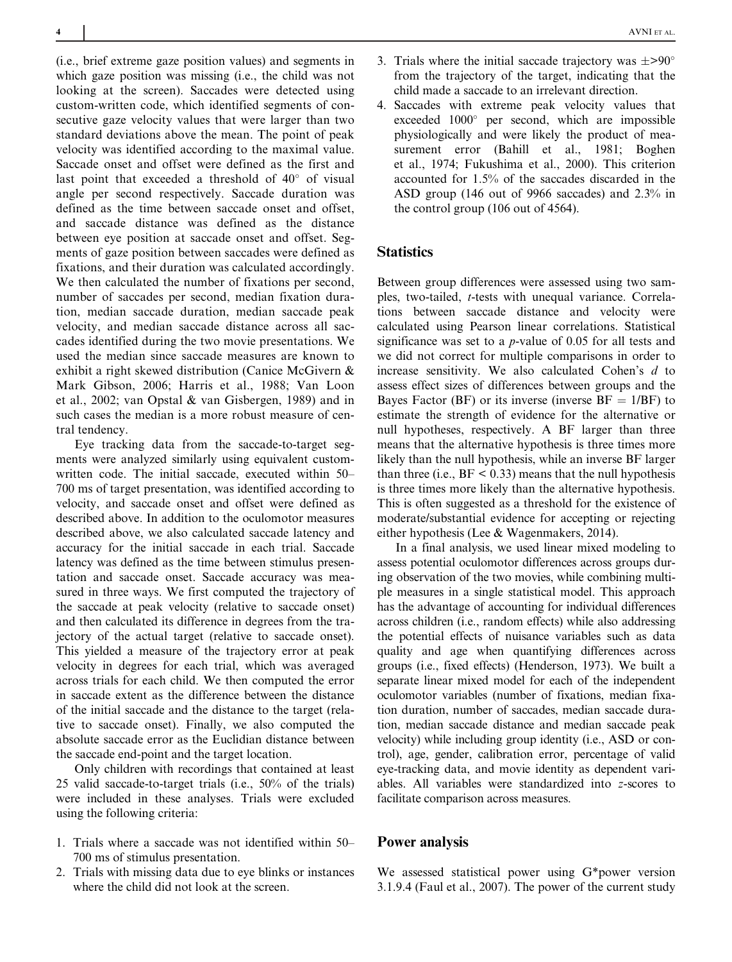(i.e., brief extreme gaze position values) and segments in which gaze position was missing (i.e., the child was not looking at the screen). Saccades were detected using custom-written code, which identified segments of consecutive gaze velocity values that were larger than two standard deviations above the mean. The point of peak velocity was identified according to the maximal value. Saccade onset and offset were defined as the first and last point that exceeded a threshold of  $40^{\circ}$  of visual angle per second respectively. Saccade duration was defined as the time between saccade onset and offset, and saccade distance was defined as the distance between eye position at saccade onset and offset. Segments of gaze position between saccades were defined as fixations, and their duration was calculated accordingly. We then calculated the number of fixations per second, number of saccades per second, median fixation duration, median saccade duration, median saccade peak velocity, and median saccade distance across all saccades identified during the two movie presentations. We used the median since saccade measures are known to exhibit a right skewed distribution (Canice McGivern & Mark Gibson, 2006; Harris et al., 1988; Van Loon et al., 2002; van Opstal & van Gisbergen, 1989) and in such cases the median is a more robust measure of central tendency.

Eye tracking data from the saccade-to-target segments were analyzed similarly using equivalent customwritten code. The initial saccade, executed within 50– 700 ms of target presentation, was identified according to velocity, and saccade onset and offset were defined as described above. In addition to the oculomotor measures described above, we also calculated saccade latency and accuracy for the initial saccade in each trial. Saccade latency was defined as the time between stimulus presentation and saccade onset. Saccade accuracy was measured in three ways. We first computed the trajectory of the saccade at peak velocity (relative to saccade onset) and then calculated its difference in degrees from the trajectory of the actual target (relative to saccade onset). This yielded a measure of the trajectory error at peak velocity in degrees for each trial, which was averaged across trials for each child. We then computed the error in saccade extent as the difference between the distance of the initial saccade and the distance to the target (relative to saccade onset). Finally, we also computed the absolute saccade error as the Euclidian distance between the saccade end-point and the target location.

Only children with recordings that contained at least 25 valid saccade-to-target trials (i.e., 50% of the trials) were included in these analyses. Trials were excluded using the following criteria:

- 1. Trials where a saccade was not identified within 50– 700 ms of stimulus presentation.
- 2. Trials with missing data due to eye blinks or instances where the child did not look at the screen.
- 3. Trials where the initial saccade trajectory was  $\pm$ >90° from the trajectory of the target, indicating that the child made a saccade to an irrelevant direction.
- 4. Saccades with extreme peak velocity values that exceeded 1000° per second, which are impossible physiologically and were likely the product of measurement error (Bahill et al., 1981; Boghen et al., 1974; Fukushima et al., 2000). This criterion accounted for 1.5% of the saccades discarded in the ASD group (146 out of 9966 saccades) and 2.3% in the control group (106 out of 4564).

## **Statistics**

Between group differences were assessed using two samples, two-tailed, t-tests with unequal variance. Correlations between saccade distance and velocity were calculated using Pearson linear correlations. Statistical significance was set to a  $p$ -value of 0.05 for all tests and we did not correct for multiple comparisons in order to increase sensitivity. We also calculated Cohen's d to assess effect sizes of differences between groups and the Bayes Factor (BF) or its inverse (inverse  $BF = 1/BF$ ) to estimate the strength of evidence for the alternative or null hypotheses, respectively. A BF larger than three means that the alternative hypothesis is three times more likely than the null hypothesis, while an inverse BF larger than three (i.e.,  $BF < 0.33$ ) means that the null hypothesis is three times more likely than the alternative hypothesis. This is often suggested as a threshold for the existence of moderate/substantial evidence for accepting or rejecting either hypothesis (Lee & Wagenmakers, 2014).

In a final analysis, we used linear mixed modeling to assess potential oculomotor differences across groups during observation of the two movies, while combining multiple measures in a single statistical model. This approach has the advantage of accounting for individual differences across children (i.e., random effects) while also addressing the potential effects of nuisance variables such as data quality and age when quantifying differences across groups (i.e., fixed effects) (Henderson, 1973). We built a separate linear mixed model for each of the independent oculomotor variables (number of fixations, median fixation duration, number of saccades, median saccade duration, median saccade distance and median saccade peak velocity) while including group identity (i.e., ASD or control), age, gender, calibration error, percentage of valid eye-tracking data, and movie identity as dependent variables. All variables were standardized into z-scores to facilitate comparison across measures.

#### Power analysis

We assessed statistical power using G\*power version 3.1.9.4 (Faul et al., 2007). The power of the current study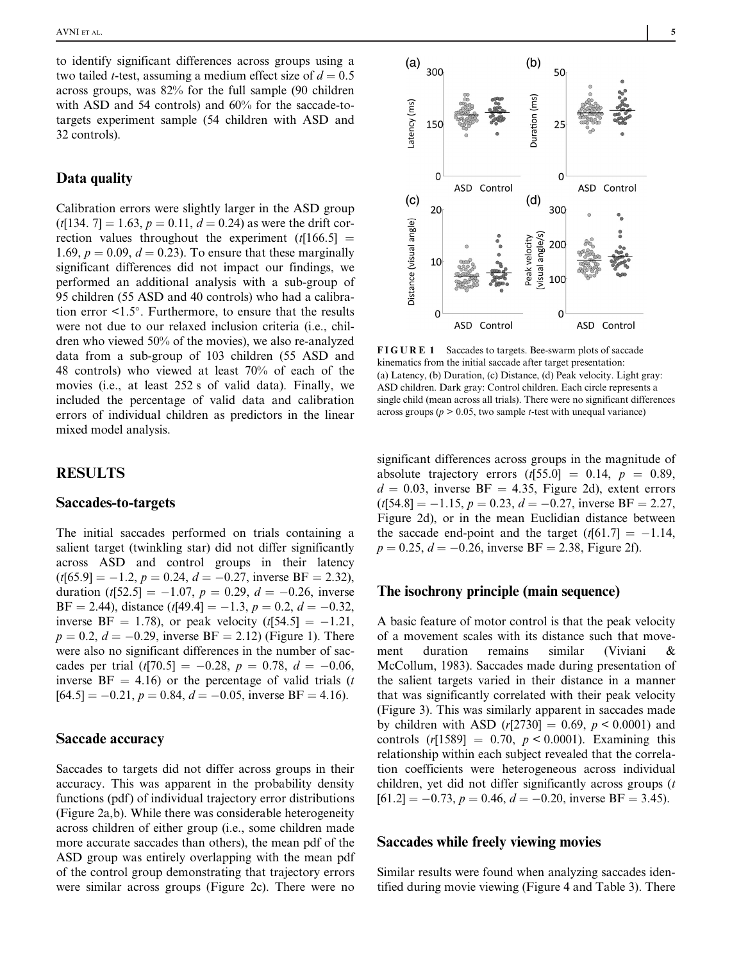to identify significant differences across groups using a two tailed *t*-test, assuming a medium effect size of  $d = 0.5$ across groups, was 82% for the full sample (90 children with ASD and 54 controls) and 60% for the saccade-totargets experiment sample (54 children with ASD and 32 controls).

## Data quality

Calibration errors were slightly larger in the ASD group  $(t[134, 7] = 1.63, p = 0.11, d = 0.24$  as were the drift correction values throughout the experiment  $(t[166.5] =$ 1.69,  $p = 0.09$ ,  $d = 0.23$ ). To ensure that these marginally significant differences did not impact our findings, we performed an additional analysis with a sub-group of 95 children (55 ASD and 40 controls) who had a calibration error  $\leq 1.5^\circ$ . Furthermore, to ensure that the results were not due to our relaxed inclusion criteria (i.e., children who viewed 50% of the movies), we also re-analyzed data from a sub-group of 103 children (55 ASD and 48 controls) who viewed at least 70% of each of the movies (i.e., at least 252 s of valid data). Finally, we included the percentage of valid data and calibration errors of individual children as predictors in the linear mixed model analysis.

## RESULTS

#### Saccades-to-targets

The initial saccades performed on trials containing a salient target (twinkling star) did not differ significantly across ASD and control groups in their latency  $(t[65.9] = -1.2, p = 0.24, d = -0.27$ , inverse BF = 2.32), duration  $(t[52.5] = -1.07, p = 0.29, d = -0.26$ , inverse BF = 2.44), distance  $(t[49.4] = -1.3, p = 0.2, d = -0.32,$ inverse BF = 1.78), or peak velocity  $(t[54.5] = -1.21$ ,  $p = 0.2$ ,  $d = -0.29$ , inverse BF = 2.12) (Figure 1). There were also no significant differences in the number of saccades per trial  $(t[70.5] = -0.28, p = 0.78, d = -0.06,$ inverse  $BF = 4.16$ ) or the percentage of valid trials (t  $[64.5] = -0.21$ ,  $p = 0.84$ ,  $d = -0.05$ , inverse BF = 4.16).

## Saccade accuracy

Saccades to targets did not differ across groups in their accuracy. This was apparent in the probability density functions (pdf) of individual trajectory error distributions (Figure 2a,b). While there was considerable heterogeneity across children of either group (i.e., some children made more accurate saccades than others), the mean pdf of the ASD group was entirely overlapping with the mean pdf of the control group demonstrating that trajectory errors were similar across groups (Figure 2c). There were no



FIGURE 1 Saccades to targets. Bee-swarm plots of saccade kinematics from the initial saccade after target presentation: (a) Latency, (b) Duration, (c) Distance, (d) Peak velocity. Light gray: ASD children. Dark gray: Control children. Each circle represents a single child (mean across all trials). There were no significant differences across groups ( $p > 0.05$ , two sample *t*-test with unequal variance)

significant differences across groups in the magnitude of absolute trajectory errors  $(t[55.0] = 0.14, p = 0.89,$  $d = 0.03$ , inverse BF = 4.35, Figure 2d), extent errors  $(t[54.8] = -1.15, p = 0.23, d = -0.27,$  inverse BF = 2.27, Figure 2d), or in the mean Euclidian distance between the saccade end-point and the target  $(t[61.7] = -1.14$ ,  $p = 0.25, d = -0.26$ , inverse BF = 2.38, Figure 2f).

#### The isochrony principle (main sequence)

A basic feature of motor control is that the peak velocity of a movement scales with its distance such that movement duration remains similar (Viviani & McCollum, 1983). Saccades made during presentation of the salient targets varied in their distance in a manner that was significantly correlated with their peak velocity (Figure 3). This was similarly apparent in saccades made by children with ASD  $(r[2730] = 0.69, p < 0.0001)$  and controls  $(r[1589] = 0.70, p < 0.0001)$ . Examining this relationship within each subject revealed that the correlation coefficients were heterogeneous across individual children, yet did not differ significantly across groups (*t*  $[61.2] = -0.73$ ,  $p = 0.46$ ,  $d = -0.20$ , inverse BF = 3.45).

#### Saccades while freely viewing movies

Similar results were found when analyzing saccades identified during movie viewing (Figure 4 and Table 3). There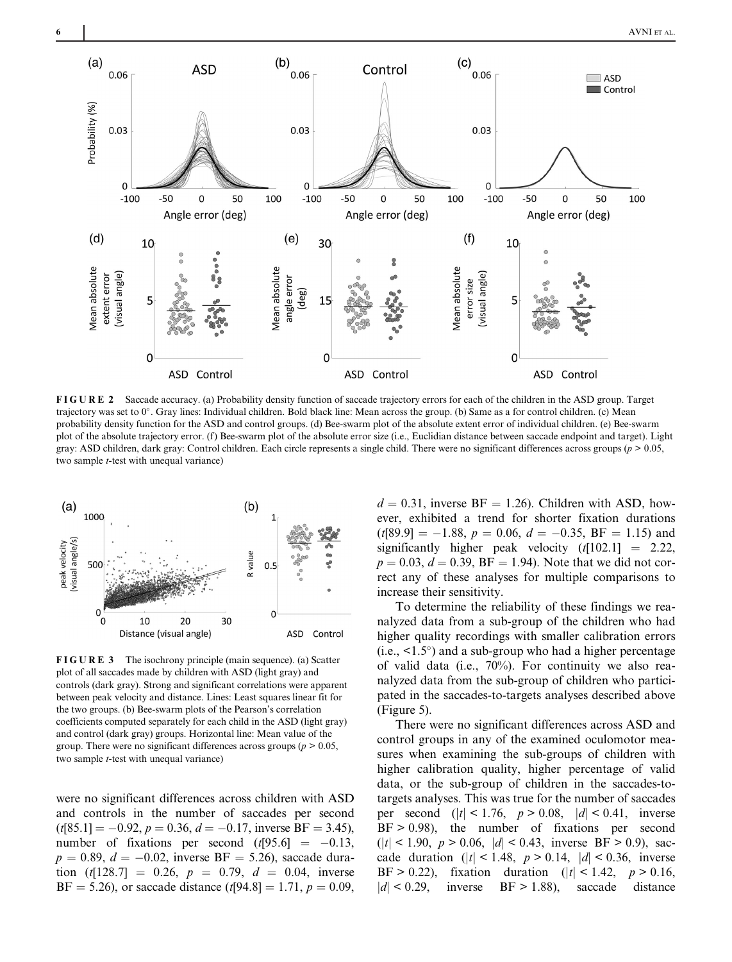

FIGURE 2 Saccade accuracy. (a) Probability density function of saccade trajectory errors for each of the children in the ASD group. Target trajectory was set to 0°. Gray lines: Individual children. Bold black line: Mean across the group. (b) Same as a for control children. (c) Mean probability density function for the ASD and control groups. (d) Bee-swarm plot of the absolute extent error of individual children. (e) Bee-swarm plot of the absolute trajectory error. (f) Bee-swarm plot of the absolute error size (i.e., Euclidian distance between saccade endpoint and target). Light gray: ASD children, dark gray: Control children. Each circle represents a single child. There were no significant differences across groups ( $p > 0.05$ , two sample *t*-test with unequal variance)



FIGURE 3 The isochrony principle (main sequence). (a) Scatter plot of all saccades made by children with ASD (light gray) and controls (dark gray). Strong and significant correlations were apparent between peak velocity and distance. Lines: Least squares linear fit for the two groups. (b) Bee-swarm plots of the Pearson's correlation coefficients computed separately for each child in the ASD (light gray) and control (dark gray) groups. Horizontal line: Mean value of the group. There were no significant differences across groups ( $p > 0.05$ , two sample *t*-test with unequal variance)

were no significant differences across children with ASD and controls in the number of saccades per second  $(t[85.1] = -0.92, p = 0.36, d = -0.17$ , inverse BF = 3.45), number of fixations per second  $(t[95.6] = -0.13$ ,  $p = 0.89, d = -0.02$ , inverse BF = 5.26), saccade duration  $(t[128.7] = 0.26, p = 0.79, d = 0.04,$  inverse  $BF = 5.26$ , or saccade distance (t[94.8] = 1.71,  $p = 0.09$ ,

 $d = 0.31$ , inverse BF = 1.26). Children with ASD, however, exhibited a trend for shorter fixation durations  $(t[89.9] = -1.88, p = 0.06, d = -0.35, BF = 1.15)$  and significantly higher peak velocity  $(t[102.1] = 2.22)$ ,  $p = 0.03, d = 0.39, BF = 1.94$ . Note that we did not correct any of these analyses for multiple comparisons to increase their sensitivity.

To determine the reliability of these findings we reanalyzed data from a sub-group of the children who had higher quality recordings with smaller calibration errors  $(i.e., <1.5^{\circ})$  and a sub-group who had a higher percentage of valid data (i.e., 70%). For continuity we also reanalyzed data from the sub-group of children who participated in the saccades-to-targets analyses described above (Figure 5).

There were no significant differences across ASD and control groups in any of the examined oculomotor measures when examining the sub-groups of children with higher calibration quality, higher percentage of valid data, or the sub-group of children in the saccades-totargets analyses. This was true for the number of saccades per second  $(|t| < 1.76, p > 0.08, |d| < 0.41$ , inverse  $BF > 0.98$ , the number of fixations per second  $(|t| < 1.90, p > 0.06, |d| < 0.43,$  inverse BF  $> 0.9$ ), saccade duration ( $|t|$  < 1.48,  $p > 0.14$ ,  $|d|$  < 0.36, inverse BF > 0.22), fixation duration ( $|t|$  < 1.42,  $p$  > 0.16,  $|d|$  < 0.29, inverse BF > 1.88), saccade distance  $|d|$  < 0.29, inverse BF > 1.88),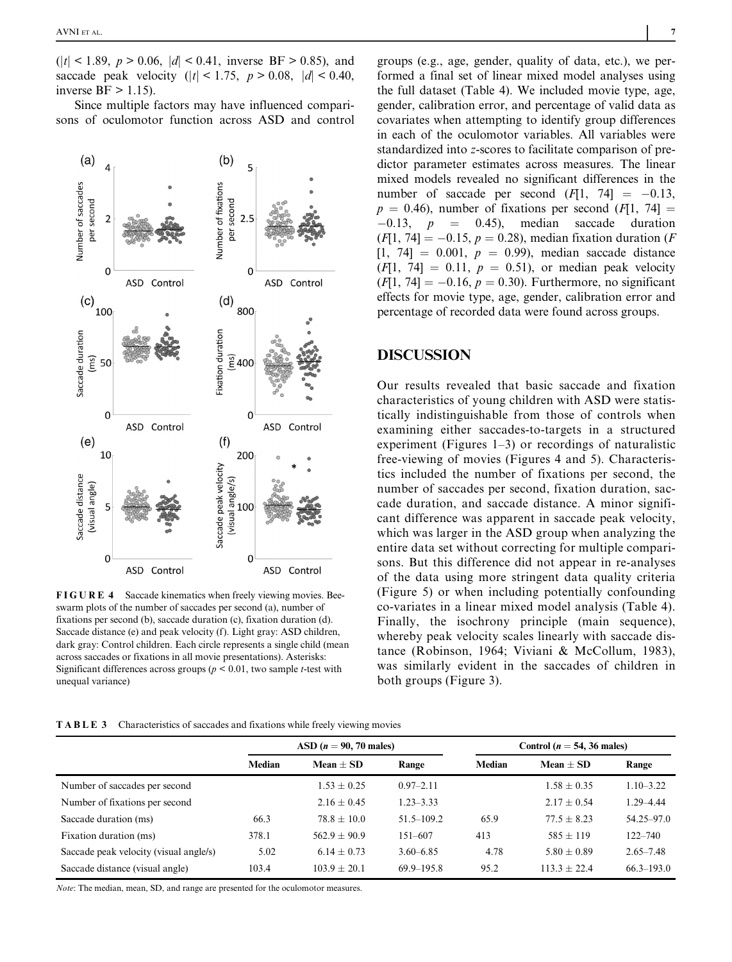$(|t| < 1.89, p > 0.06, |d| < 0.41,$  inverse BF > 0.85), and saccade peak velocity  $(|t| < 1.75, p > 0.08, |d| < 0.40,$ inverse  $BF > 1.15$ ).

Since multiple factors may have influenced comparisons of oculomotor function across ASD and control



FIGURE 4 Saccade kinematics when freely viewing movies. Beeswarm plots of the number of saccades per second (a), number of fixations per second (b), saccade duration (c), fixation duration (d). Saccade distance (e) and peak velocity (f). Light gray: ASD children, dark gray: Control children. Each circle represents a single child (mean across saccades or fixations in all movie presentations). Asterisks: Significant differences across groups ( $p \le 0.01$ , two sample *t*-test with unequal variance)

groups (e.g., age, gender, quality of data, etc.), we performed a final set of linear mixed model analyses using the full dataset (Table 4). We included movie type, age, gender, calibration error, and percentage of valid data as covariates when attempting to identify group differences in each of the oculomotor variables. All variables were standardized into z-scores to facilitate comparison of predictor parameter estimates across measures. The linear mixed models revealed no significant differences in the number of saccade per second  $(F[1, 74] = -0.13$ ,  $p = 0.46$ ), number of fixations per second (F[1, 74] =  $-0.13$ ,  $p = 0.45$ ), median saccade duration  $(F[1, 74] = -0.15, p = 0.28)$ , median fixation duration (F)  $[1, 74] = 0.001, p = 0.99$ , median saccade distance  $[F|1, 74] = 0.11, p = 0.51$ , or median peak velocity  $(F[1, 74] = -0.16, p = 0.30)$ . Furthermore, no significant effects for movie type, age, gender, calibration error and percentage of recorded data were found across groups.

## DISCUSSION

Our results revealed that basic saccade and fixation characteristics of young children with ASD were statistically indistinguishable from those of controls when examining either saccades-to-targets in a structured experiment (Figures 1–3) or recordings of naturalistic free-viewing of movies (Figures 4 and 5). Characteristics included the number of fixations per second, the number of saccades per second, fixation duration, saccade duration, and saccade distance. A minor significant difference was apparent in saccade peak velocity, which was larger in the ASD group when analyzing the entire data set without correcting for multiple comparisons. But this difference did not appear in re-analyses of the data using more stringent data quality criteria (Figure 5) or when including potentially confounding co-variates in a linear mixed model analysis (Table 4). Finally, the isochrony principle (main sequence), whereby peak velocity scales linearly with saccade distance (Robinson, 1964; Viviani & McCollum, 1983), was similarly evident in the saccades of children in both groups (Figure 3).

| <b>TABLE 3</b> Characteristics of saccades and fixations while freely viewing movies |  |  |
|--------------------------------------------------------------------------------------|--|--|
|                                                                                      |  |  |

|                                        | ASD $(n = 90, 70 \text{ males})$ |                |                | Control ( $n = 54$ , 36 males) |                |                |  |
|----------------------------------------|----------------------------------|----------------|----------------|--------------------------------|----------------|----------------|--|
|                                        | Median                           | $Mean + SD$    | Range          | Median                         | $Mean + SD$    | Range          |  |
| Number of saccades per second          |                                  | $1.53 + 0.25$  | $0.97 - 2.11$  |                                | $1.58 + 0.35$  | $1.10 - 3.22$  |  |
| Number of fixations per second         |                                  | $2.16 + 0.45$  | $1.23 - 3.33$  |                                | $2.17 + 0.54$  | $1.29 - 4.44$  |  |
| Saccade duration (ms)                  | 66.3                             | $78.8 + 10.0$  | $51.5 - 109.2$ | 65.9                           | $77.5 + 8.23$  | $54.25 - 97.0$ |  |
| Fixation duration (ms)                 | 378.1                            | $562.9 + 90.9$ | $151 - 607$    | 413                            | $585 + 119$    | $122 - 740$    |  |
| Saccade peak velocity (visual angle/s) | 5.02                             | $6.14 + 0.73$  | $3.60 - 6.85$  | 4.78                           | $5.80 + 0.89$  | $2.65 - 7.48$  |  |
| Saccade distance (visual angle)        | 103.4                            | $103.9 + 20.1$ | $69.9 - 195.8$ | 95.2                           | $113.3 + 22.4$ | $66.3 - 193.0$ |  |

Note: The median, mean, SD, and range are presented for the oculomotor measures.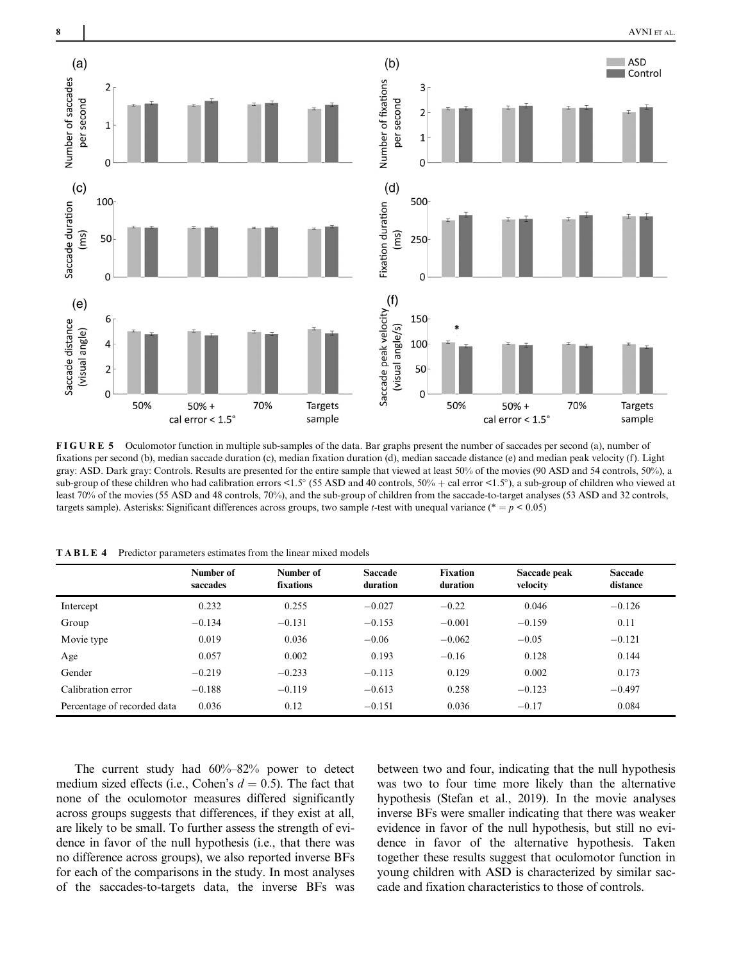

FIGURE 5 Oculomotor function in multiple sub-samples of the data. Bar graphs present the number of saccades per second (a), number of fixations per second (b), median saccade duration (c), median fixation duration (d), median saccade distance (e) and median peak velocity (f). Light gray: ASD. Dark gray: Controls. Results are presented for the entire sample that viewed at least 50% of the movies (90 ASD and 54 controls, 50%), a sub-group of these children who had calibration errors <1.5° (55 ASD and 40 controls,  $50\%$  + cal error <1.5°), a sub-group of children who viewed at least 70% of the movies (55 ASD and 48 controls, 70%), and the sub-group of children from the saccade-to-target analyses (53 ASD and 32 controls, targets sample). Asterisks: Significant differences across groups, two sample *t*-test with unequal variance (\* =  $p$  < 0.05)

|                             | Number of<br>saccades | Number of<br>fixations | <b>Saccade</b><br>duration | <b>Fixation</b><br>duration | Saccade peak<br>velocity | <b>Saccade</b><br>distance |
|-----------------------------|-----------------------|------------------------|----------------------------|-----------------------------|--------------------------|----------------------------|
| Intercept                   | 0.232                 | 0.255                  | $-0.027$                   | $-0.22$                     | 0.046                    | $-0.126$                   |
| Group                       | $-0.134$              | $-0.131$               | $-0.153$                   | $-0.001$                    | $-0.159$                 | 0.11                       |
| Movie type                  | 0.019                 | 0.036                  | $-0.06$                    | $-0.062$                    | $-0.05$                  | $-0.121$                   |
| Age                         | 0.057                 | 0.002                  | 0.193                      | $-0.16$                     | 0.128                    | 0.144                      |
| Gender                      | $-0.219$              | $-0.233$               | $-0.113$                   | 0.129                       | 0.002                    | 0.173                      |
| Calibration error           | $-0.188$              | $-0.119$               | $-0.613$                   | 0.258                       | $-0.123$                 | $-0.497$                   |
| Percentage of recorded data | 0.036                 | 0.12                   | $-0.151$                   | 0.036                       | $-0.17$                  | 0.084                      |

TABLE 4 Predictor parameters estimates from the linear mixed models

The current study had 60%–82% power to detect medium sized effects (i.e., Cohen's  $d = 0.5$ ). The fact that none of the oculomotor measures differed significantly across groups suggests that differences, if they exist at all, are likely to be small. To further assess the strength of evidence in favor of the null hypothesis (i.e., that there was no difference across groups), we also reported inverse BFs for each of the comparisons in the study. In most analyses of the saccades-to-targets data, the inverse BFs was

between two and four, indicating that the null hypothesis was two to four time more likely than the alternative hypothesis (Stefan et al., 2019). In the movie analyses inverse BFs were smaller indicating that there was weaker evidence in favor of the null hypothesis, but still no evidence in favor of the alternative hypothesis. Taken together these results suggest that oculomotor function in young children with ASD is characterized by similar saccade and fixation characteristics to those of controls.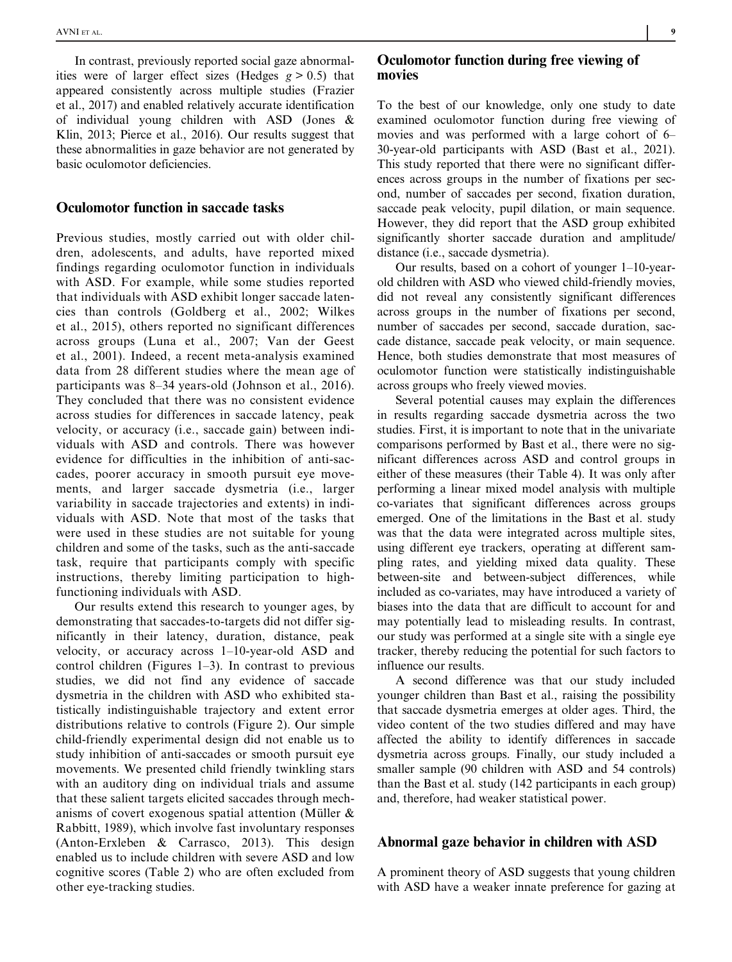In contrast, previously reported social gaze abnormalities were of larger effect sizes (Hedges  $g > 0.5$ ) that appeared consistently across multiple studies (Frazier et al., 2017) and enabled relatively accurate identification of individual young children with ASD (Jones & Klin, 2013; Pierce et al., 2016). Our results suggest that these abnormalities in gaze behavior are not generated by basic oculomotor deficiencies.

#### Oculomotor function in saccade tasks

Previous studies, mostly carried out with older children, adolescents, and adults, have reported mixed findings regarding oculomotor function in individuals with ASD. For example, while some studies reported that individuals with ASD exhibit longer saccade latencies than controls (Goldberg et al., 2002; Wilkes et al., 2015), others reported no significant differences across groups (Luna et al., 2007; Van der Geest et al., 2001). Indeed, a recent meta-analysis examined data from 28 different studies where the mean age of participants was 8–34 years-old (Johnson et al., 2016). They concluded that there was no consistent evidence across studies for differences in saccade latency, peak velocity, or accuracy (i.e., saccade gain) between individuals with ASD and controls. There was however evidence for difficulties in the inhibition of anti-saccades, poorer accuracy in smooth pursuit eye movements, and larger saccade dysmetria (i.e., larger variability in saccade trajectories and extents) in individuals with ASD. Note that most of the tasks that were used in these studies are not suitable for young children and some of the tasks, such as the anti-saccade task, require that participants comply with specific instructions, thereby limiting participation to highfunctioning individuals with ASD.

Our results extend this research to younger ages, by demonstrating that saccades-to-targets did not differ significantly in their latency, duration, distance, peak velocity, or accuracy across 1–10-year-old ASD and control children (Figures 1–3). In contrast to previous studies, we did not find any evidence of saccade dysmetria in the children with ASD who exhibited statistically indistinguishable trajectory and extent error distributions relative to controls (Figure 2). Our simple child-friendly experimental design did not enable us to study inhibition of anti-saccades or smooth pursuit eye movements. We presented child friendly twinkling stars with an auditory ding on individual trials and assume that these salient targets elicited saccades through mechanisms of covert exogenous spatial attention (Müller & Rabbitt, 1989), which involve fast involuntary responses (Anton-Erxleben & Carrasco, 2013). This design enabled us to include children with severe ASD and low cognitive scores (Table 2) who are often excluded from other eye-tracking studies.

## Oculomotor function during free viewing of movies

To the best of our knowledge, only one study to date examined oculomotor function during free viewing of movies and was performed with a large cohort of 6– 30-year-old participants with ASD (Bast et al., 2021). This study reported that there were no significant differences across groups in the number of fixations per second, number of saccades per second, fixation duration, saccade peak velocity, pupil dilation, or main sequence. However, they did report that the ASD group exhibited significantly shorter saccade duration and amplitude/ distance (i.e., saccade dysmetria).

Our results, based on a cohort of younger 1–10-yearold children with ASD who viewed child-friendly movies, did not reveal any consistently significant differences across groups in the number of fixations per second, number of saccades per second, saccade duration, saccade distance, saccade peak velocity, or main sequence. Hence, both studies demonstrate that most measures of oculomotor function were statistically indistinguishable across groups who freely viewed movies.

Several potential causes may explain the differences in results regarding saccade dysmetria across the two studies. First, it is important to note that in the univariate comparisons performed by Bast et al., there were no significant differences across ASD and control groups in either of these measures (their Table 4). It was only after performing a linear mixed model analysis with multiple co-variates that significant differences across groups emerged. One of the limitations in the Bast et al. study was that the data were integrated across multiple sites, using different eye trackers, operating at different sampling rates, and yielding mixed data quality. These between-site and between-subject differences, while included as co-variates, may have introduced a variety of biases into the data that are difficult to account for and may potentially lead to misleading results. In contrast, our study was performed at a single site with a single eye tracker, thereby reducing the potential for such factors to influence our results.

A second difference was that our study included younger children than Bast et al., raising the possibility that saccade dysmetria emerges at older ages. Third, the video content of the two studies differed and may have affected the ability to identify differences in saccade dysmetria across groups. Finally, our study included a smaller sample (90 children with ASD and 54 controls) than the Bast et al. study (142 participants in each group) and, therefore, had weaker statistical power.

#### Abnormal gaze behavior in children with ASD

A prominent theory of ASD suggests that young children with ASD have a weaker innate preference for gazing at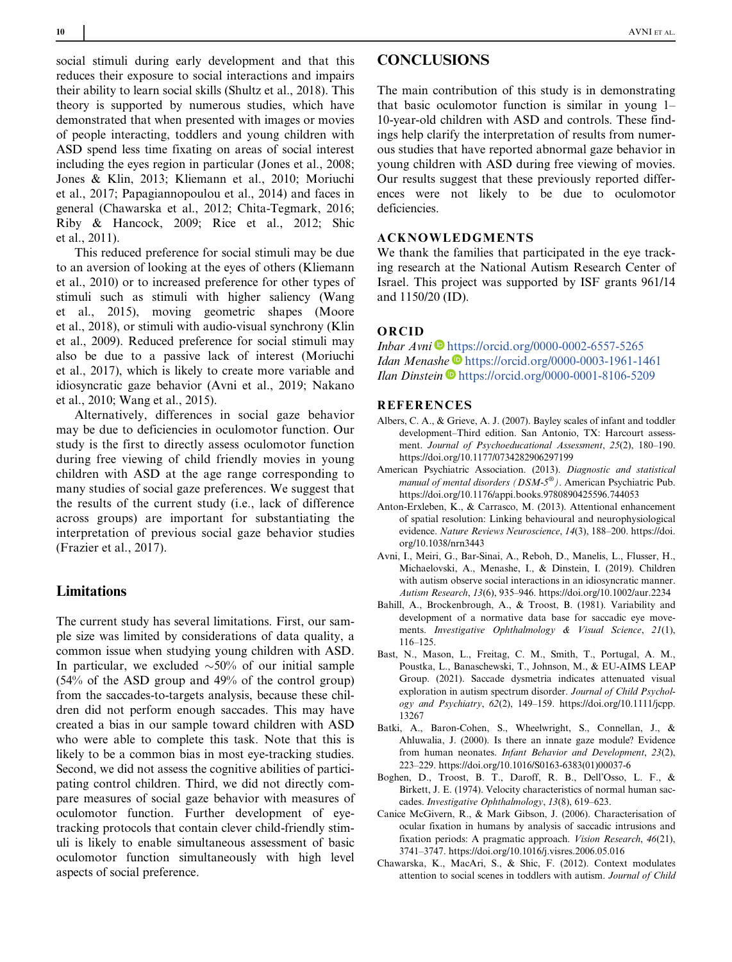social stimuli during early development and that this reduces their exposure to social interactions and impairs their ability to learn social skills (Shultz et al., 2018). This theory is supported by numerous studies, which have demonstrated that when presented with images or movies of people interacting, toddlers and young children with ASD spend less time fixating on areas of social interest including the eyes region in particular (Jones et al., 2008; Jones & Klin, 2013; Kliemann et al., 2010; Moriuchi et al., 2017; Papagiannopoulou et al., 2014) and faces in general (Chawarska et al., 2012; Chita-Tegmark, 2016; Riby & Hancock, 2009; Rice et al., 2012; Shic et al., 2011).

This reduced preference for social stimuli may be due to an aversion of looking at the eyes of others (Kliemann et al., 2010) or to increased preference for other types of stimuli such as stimuli with higher saliency (Wang et al., 2015), moving geometric shapes (Moore et al., 2018), or stimuli with audio-visual synchrony (Klin et al., 2009). Reduced preference for social stimuli may also be due to a passive lack of interest (Moriuchi et al., 2017), which is likely to create more variable and idiosyncratic gaze behavior (Avni et al., 2019; Nakano et al., 2010; Wang et al., 2015).

Alternatively, differences in social gaze behavior may be due to deficiencies in oculomotor function. Our study is the first to directly assess oculomotor function during free viewing of child friendly movies in young children with ASD at the age range corresponding to many studies of social gaze preferences. We suggest that the results of the current study (i.e., lack of difference across groups) are important for substantiating the interpretation of previous social gaze behavior studies (Frazier et al., 2017).

## Limitations

The current study has several limitations. First, our sample size was limited by considerations of data quality, a common issue when studying young children with ASD. In particular, we excluded  $\sim 50\%$  of our initial sample (54% of the ASD group and 49% of the control group) from the saccades-to-targets analysis, because these children did not perform enough saccades. This may have created a bias in our sample toward children with ASD who were able to complete this task. Note that this is likely to be a common bias in most eye-tracking studies. Second, we did not assess the cognitive abilities of participating control children. Third, we did not directly compare measures of social gaze behavior with measures of oculomotor function. Further development of eyetracking protocols that contain clever child-friendly stimuli is likely to enable simultaneous assessment of basic oculomotor function simultaneously with high level aspects of social preference.

# **CONCLUSIONS**

The main contribution of this study is in demonstrating that basic oculomotor function is similar in young 1– 10-year-old children with ASD and controls. These findings help clarify the interpretation of results from numerous studies that have reported abnormal gaze behavior in young children with ASD during free viewing of movies. Our results suggest that these previously reported differences were not likely to be due to oculomotor deficiencies.

#### ACKNOWLEDGMENTS

We thank the families that participated in the eye tracking research at the National Autism Research Center of Israel. This project was supported by ISF grants 961/14 and 1150/20 (ID).

#### ORCID

Inbar Avni  $\blacksquare$  <https://orcid.org/0000-0002-6557-5265> Idan Menashe <https://orcid.org/0000-0003-1961-1461> Ilan Dinstein D<https://orcid.org/0000-0001-8106-5209>

## REFERENCES

- Albers, C. A., & Grieve, A. J. (2007). Bayley scales of infant and toddler development–Third edition. San Antonio, TX: Harcourt assessment. Journal of Psychoeducational Assessment, 25(2), 180–190. <https://doi.org/10.1177/0734282906297199>
- American Psychiatric Association. (2013). Diagnostic and statistical manual of mental disorders ( $DSM-5^{\circledast}$ ). American Psychiatric Pub. <https://doi.org/10.1176/appi.books.9780890425596.744053>
- Anton-Erxleben, K., & Carrasco, M. (2013). Attentional enhancement of spatial resolution: Linking behavioural and neurophysiological evidence. Nature Reviews Neuroscience, 14(3), 188–200. [https://doi.](https://doi.org/10.1038/nrn3443) [org/10.1038/nrn3443](https://doi.org/10.1038/nrn3443)
- Avni, I., Meiri, G., Bar-Sinai, A., Reboh, D., Manelis, L., Flusser, H., Michaelovski, A., Menashe, I., & Dinstein, I. (2019). Children with autism observe social interactions in an idiosyncratic manner. Autism Research, 13(6), 935–946.<https://doi.org/10.1002/aur.2234>
- Bahill, A., Brockenbrough, A., & Troost, B. (1981). Variability and development of a normative data base for saccadic eye movements. Investigative Ophthalmology & Visual Science, 21(1), 116–125.
- Bast, N., Mason, L., Freitag, C. M., Smith, T., Portugal, A. M., Poustka, L., Banaschewski, T., Johnson, M., & EU-AIMS LEAP Group. (2021). Saccade dysmetria indicates attenuated visual exploration in autism spectrum disorder. Journal of Child Psychology and Psychiatry, 62(2), 149–159. [https://doi.org/10.1111/jcpp.](https://doi.org/10.1111/jcpp.13267) [13267](https://doi.org/10.1111/jcpp.13267)
- Batki, A., Baron-Cohen, S., Wheelwright, S., Connellan, J., & Ahluwalia, J. (2000). Is there an innate gaze module? Evidence from human neonates. Infant Behavior and Development, 23(2), 223–229. [https://doi.org/10.1016/S0163-6383\(01\)00037-6](https://doi.org/10.1016/S0163-6383(01)00037-6)
- Boghen, D., Troost, B. T., Daroff, R. B., Dell'Osso, L. F., & Birkett, J. E. (1974). Velocity characteristics of normal human saccades. Investigative Ophthalmology, 13(8), 619–623.
- Canice McGivern, R., & Mark Gibson, J. (2006). Characterisation of ocular fixation in humans by analysis of saccadic intrusions and fixation periods: A pragmatic approach. Vision Research, 46(21), 3741–3747.<https://doi.org/10.1016/j.visres.2006.05.016>
- Chawarska, K., MacAri, S., & Shic, F. (2012). Context modulates attention to social scenes in toddlers with autism. Journal of Child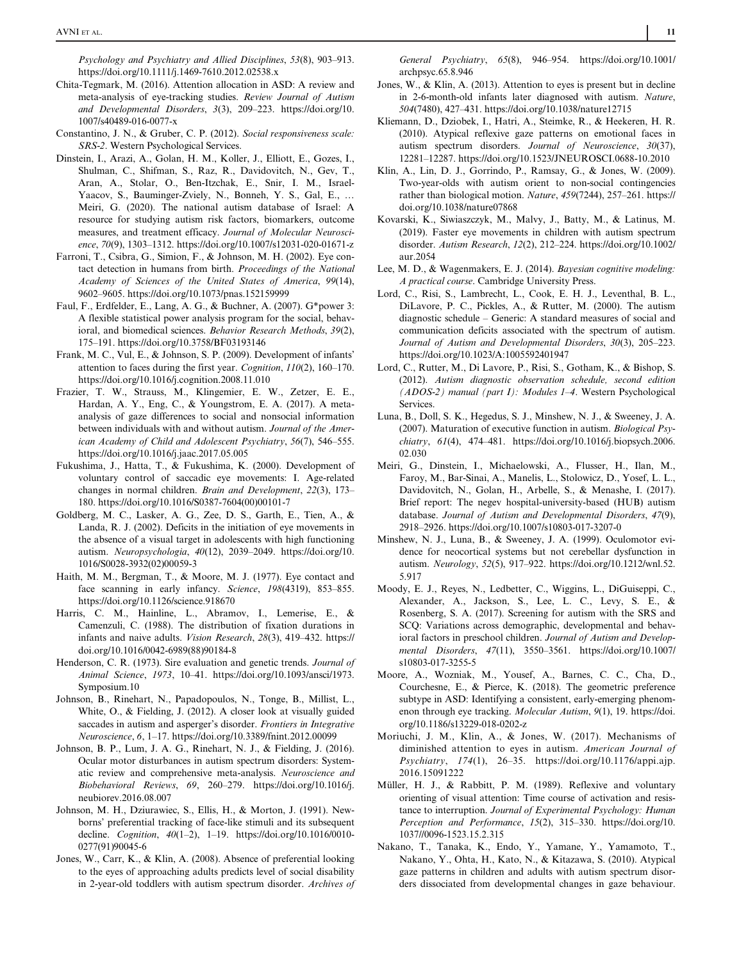Psychology and Psychiatry and Allied Disciplines, 53(8), 903–913. <https://doi.org/10.1111/j.1469-7610.2012.02538.x>

- Chita-Tegmark, M. (2016). Attention allocation in ASD: A review and meta-analysis of eye-tracking studies. Review Journal of Autism and Developmental Disorders, 3(3), 209–223. [https://doi.org/10.](https://doi.org/10.1007/s40489-016-0077-x) [1007/s40489-016-0077-x](https://doi.org/10.1007/s40489-016-0077-x)
- Constantino, J. N., & Gruber, C. P. (2012). Social responsiveness scale: SRS-2. Western Psychological Services.
- Dinstein, I., Arazi, A., Golan, H. M., Koller, J., Elliott, E., Gozes, I., Shulman, C., Shifman, S., Raz, R., Davidovitch, N., Gev, T., Aran, A., Stolar, O., Ben-Itzchak, E., Snir, I. M., Israel-Yaacov, S., Bauminger-Zviely, N., Bonneh, Y. S., Gal, E., … Meiri, G. (2020). The national autism database of Israel: A resource for studying autism risk factors, biomarkers, outcome measures, and treatment efficacy. Journal of Molecular Neuroscience, 70(9), 1303–1312.<https://doi.org/10.1007/s12031-020-01671-z>
- Farroni, T., Csibra, G., Simion, F., & Johnson, M. H. (2002). Eye contact detection in humans from birth. Proceedings of the National Academy of Sciences of the United States of America, 99(14), 9602–9605.<https://doi.org/10.1073/pnas.152159999>
- Faul, F., Erdfelder, E., Lang, A. G., & Buchner, A. (2007). G\*power 3: A flexible statistical power analysis program for the social, behavioral, and biomedical sciences. Behavior Research Methods, 39(2), 175–191.<https://doi.org/10.3758/BF03193146>
- Frank, M. C., Vul, E., & Johnson, S. P. (2009). Development of infants' attention to faces during the first year. Cognition, 110(2), 160–170. <https://doi.org/10.1016/j.cognition.2008.11.010>
- Frazier, T. W., Strauss, M., Klingemier, E. W., Zetzer, E. E., Hardan, A. Y., Eng, C., & Youngstrom, E. A. (2017). A metaanalysis of gaze differences to social and nonsocial information between individuals with and without autism. Journal of the American Academy of Child and Adolescent Psychiatry, 56(7), 546–555. <https://doi.org/10.1016/j.jaac.2017.05.005>
- Fukushima, J., Hatta, T., & Fukushima, K. (2000). Development of voluntary control of saccadic eye movements: I. Age-related changes in normal children. Brain and Development, 22(3), 173– 180. [https://doi.org/10.1016/S0387-7604\(00\)00101-7](https://doi.org/10.1016/S0387-7604(00)00101-7)
- Goldberg, M. C., Lasker, A. G., Zee, D. S., Garth, E., Tien, A., & Landa, R. J. (2002). Deficits in the initiation of eye movements in the absence of a visual target in adolescents with high functioning autism. Neuropsychologia, 40(12), 2039–2049. [https://doi.org/10.](https://doi.org/10.1016/S0028-3932(02)00059-3) [1016/S0028-3932\(02\)00059-3](https://doi.org/10.1016/S0028-3932(02)00059-3)
- Haith, M. M., Bergman, T., & Moore, M. J. (1977). Eye contact and face scanning in early infancy. Science, 198(4319), 853-855. <https://doi.org/10.1126/science.918670>
- Harris, C. M., Hainline, L., Abramov, I., Lemerise, E., & Camenzuli, C. (1988). The distribution of fixation durations in infants and naive adults. Vision Research, 28(3), 419–432. [https://](https://doi.org/10.1016/0042-6989(88)90184-8) [doi.org/10.1016/0042-6989\(88\)90184-8](https://doi.org/10.1016/0042-6989(88)90184-8)
- Henderson, C. R. (1973). Sire evaluation and genetic trends. Journal of Animal Science, 1973, 10–41. [https://doi.org/10.1093/ansci/1973.](https://doi.org/10.1093/ansci/1973.Symposium.10) [Symposium.10](https://doi.org/10.1093/ansci/1973.Symposium.10)
- Johnson, B., Rinehart, N., Papadopoulos, N., Tonge, B., Millist, L., White, O., & Fielding, J. (2012). A closer look at visually guided saccades in autism and asperger's disorder. Frontiers in Integrative Neuroscience, 6, 1–17.<https://doi.org/10.3389/fnint.2012.00099>
- Johnson, B. P., Lum, J. A. G., Rinehart, N. J., & Fielding, J. (2016). Ocular motor disturbances in autism spectrum disorders: Systematic review and comprehensive meta-analysis. Neuroscience and Biobehavioral Reviews, 69, 260–279. [https://doi.org/10.1016/j.](https://doi.org/10.1016/j.neubiorev.2016.08.007) [neubiorev.2016.08.007](https://doi.org/10.1016/j.neubiorev.2016.08.007)
- Johnson, M. H., Dziurawiec, S., Ellis, H., & Morton, J. (1991). Newborns' preferential tracking of face-like stimuli and its subsequent decline. Cognition, 40(1–2), 1–19. [https://doi.org/10.1016/0010-](https://doi.org/10.1016/0010-0277(91)90045-6) [0277\(91\)90045-6](https://doi.org/10.1016/0010-0277(91)90045-6)
- Jones, W., Carr, K., & Klin, A. (2008). Absence of preferential looking to the eyes of approaching adults predicts level of social disability in 2-year-old toddlers with autism spectrum disorder. Archives of

General Psychiatry, 65(8), 946–954. [https://doi.org/10.1001/](https://doi.org/10.1001/archpsyc.65.8.946) [archpsyc.65.8.946](https://doi.org/10.1001/archpsyc.65.8.946)

- Jones, W., & Klin, A. (2013). Attention to eyes is present but in decline in 2-6-month-old infants later diagnosed with autism. Nature, 504(7480), 427–431.<https://doi.org/10.1038/nature12715>
- Kliemann, D., Dziobek, I., Hatri, A., Steimke, R., & Heekeren, H. R. (2010). Atypical reflexive gaze patterns on emotional faces in autism spectrum disorders. Journal of Neuroscience, 30(37), 12281–12287.<https://doi.org/10.1523/JNEUROSCI.0688-10.2010>
- Klin, A., Lin, D. J., Gorrindo, P., Ramsay, G., & Jones, W. (2009). Two-year-olds with autism orient to non-social contingencies rather than biological motion. Nature, 459(7244), 257–261. [https://](https://doi.org/10.1038/nature07868) [doi.org/10.1038/nature07868](https://doi.org/10.1038/nature07868)
- Kovarski, K., Siwiaszczyk, M., Malvy, J., Batty, M., & Latinus, M. (2019). Faster eye movements in children with autism spectrum disorder. Autism Research, 12(2), 212–224. [https://doi.org/10.1002/](https://doi.org/10.1002/aur.2054) [aur.2054](https://doi.org/10.1002/aur.2054)
- Lee, M. D., & Wagenmakers, E. J. (2014). Bayesian cognitive modeling: A practical course. Cambridge University Press.
- Lord, C., Risi, S., Lambrecht, L., Cook, E. H. J., Leventhal, B. L., DiLavore, P. C., Pickles, A., & Rutter, M. (2000). The autism diagnostic schedule – Generic: A standard measures of social and communication deficits associated with the spectrum of autism. Journal of Autism and Developmental Disorders, 30(3), 205–223. <https://doi.org/10.1023/A:1005592401947>
- Lord, C., Rutter, M., Di Lavore, P., Risi, S., Gotham, K., & Bishop, S. (2012). Autism diagnostic observation schedule, second edition (ADOS-2) manual (part I): Modules 1–4. Western Psychological **Services**
- Luna, B., Doll, S. K., Hegedus, S. J., Minshew, N. J., & Sweeney, J. A. (2007). Maturation of executive function in autism. Biological Psychiatry, 61(4), 474–481. [https://doi.org/10.1016/j.biopsych.2006.](https://doi.org/10.1016/j.biopsych.2006.02.030) [02.030](https://doi.org/10.1016/j.biopsych.2006.02.030)
- Meiri, G., Dinstein, I., Michaelowski, A., Flusser, H., Ilan, M., Faroy, M., Bar-Sinai, A., Manelis, L., Stolowicz, D., Yosef, L. L., Davidovitch, N., Golan, H., Arbelle, S., & Menashe, I. (2017). Brief report: The negev hospital-university-based (HUB) autism database. Journal of Autism and Developmental Disorders, 47(9), 2918–2926.<https://doi.org/10.1007/s10803-017-3207-0>
- Minshew, N. J., Luna, B., & Sweeney, J. A. (1999). Oculomotor evidence for neocortical systems but not cerebellar dysfunction in autism. Neurology, 52(5), 917–922. [https://doi.org/10.1212/wnl.52.](https://doi.org/10.1212/wnl.52.5.917) [5.917](https://doi.org/10.1212/wnl.52.5.917)
- Moody, E. J., Reyes, N., Ledbetter, C., Wiggins, L., DiGuiseppi, C., Alexander, A., Jackson, S., Lee, L. C., Levy, S. E., & Rosenberg, S. A. (2017). Screening for autism with the SRS and SCQ: Variations across demographic, developmental and behavioral factors in preschool children. Journal of Autism and Developmental Disorders, 47(11), 3550–3561. [https://doi.org/10.1007/](https://doi.org/10.1007/s10803-017-3255-5) [s10803-017-3255-5](https://doi.org/10.1007/s10803-017-3255-5)
- Moore, A., Wozniak, M., Yousef, A., Barnes, C. C., Cha, D., Courchesne, E., & Pierce, K. (2018). The geometric preference subtype in ASD: Identifying a consistent, early-emerging phenomenon through eye tracking. Molecular Autism, 9(1), 19. [https://doi.](https://doi.org/10.1186/s13229-018-0202-z) [org/10.1186/s13229-018-0202-z](https://doi.org/10.1186/s13229-018-0202-z)
- Moriuchi, J. M., Klin, A., & Jones, W. (2017). Mechanisms of diminished attention to eyes in autism. American Journal of Psychiatry, 174(1), 26–35. [https://doi.org/10.1176/appi.ajp.](https://doi.org/10.1176/appi.ajp.2016.15091222) [2016.15091222](https://doi.org/10.1176/appi.ajp.2016.15091222)
- Müller, H. J., & Rabbitt, P. M. (1989). Reflexive and voluntary orienting of visual attention: Time course of activation and resistance to interruption. Journal of Experimental Psychology: Human Perception and Performance, 15(2), 315–330. [https://doi.org/10.](https://doi.org/10.1037//0096-1523.15.2.315) [1037//0096-1523.15.2.315](https://doi.org/10.1037//0096-1523.15.2.315)
- Nakano, T., Tanaka, K., Endo, Y., Yamane, Y., Yamamoto, T., Nakano, Y., Ohta, H., Kato, N., & Kitazawa, S. (2010). Atypical gaze patterns in children and adults with autism spectrum disorders dissociated from developmental changes in gaze behaviour.